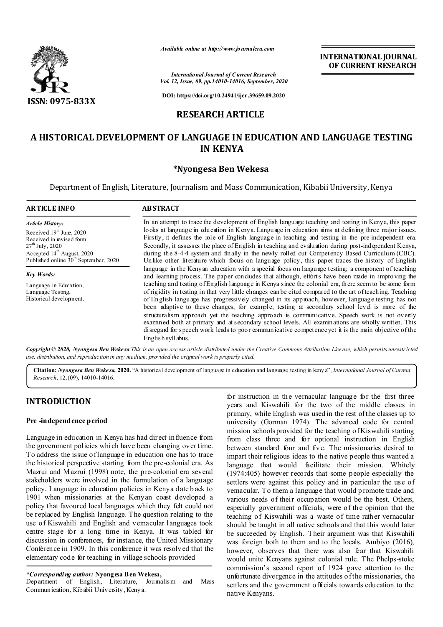

*Available online at http://www.journalcra.com*

**INTERNATIONAL JOURNAL OF CURRENT RESEARCH**

*International Journal of Current Research Vol. 12, Issue, 09, pp.14010-14016, September, 2020*

**DOI: https://doi.org/10.24941/ijcr.39659.09.2020**

# **RESEARCH ARTICLE**

# **A HISTORICAL DEVELOPMENT OF LANGUAGE IN EDUCATION AND LANGUAGE TESTING IN KENYA**

## **\*Nyongesa Ben Wekesa**

Department of English, Literature, Journalism and Mass Communication, Kibabii University, Kenya

| <b>ARTICLE INFO</b>                                                                                                                                                                                   | <b>ABSTRACT</b>                                                                                                                                                                                                                                                                                                                                                                                                                                                                                                                                                                                                                                                                                                                                                                                                                                                                                                                                                                                                                                                                                                                                                                                                                                                                                                                                                                                                                                                                                                                                                                                            |
|-------------------------------------------------------------------------------------------------------------------------------------------------------------------------------------------------------|------------------------------------------------------------------------------------------------------------------------------------------------------------------------------------------------------------------------------------------------------------------------------------------------------------------------------------------------------------------------------------------------------------------------------------------------------------------------------------------------------------------------------------------------------------------------------------------------------------------------------------------------------------------------------------------------------------------------------------------------------------------------------------------------------------------------------------------------------------------------------------------------------------------------------------------------------------------------------------------------------------------------------------------------------------------------------------------------------------------------------------------------------------------------------------------------------------------------------------------------------------------------------------------------------------------------------------------------------------------------------------------------------------------------------------------------------------------------------------------------------------------------------------------------------------------------------------------------------------|
| <b>Article History:</b><br>Received $19th$ June, 2020<br>Received in revised form<br>$27th$ July, 2020<br>Accepted 14 <sup>th</sup> August, 2020<br>Published online 30 <sup>th</sup> September, 2020 | In an attempt to trace the development of English language teaching and testing in Kenya, this paper<br>looks at language in education in Kenya. Language in education aims at defining three major issues.<br>Firstly, it defines the role of English language in teaching and testing in the pre-independent era.<br>Secondly, it assesses the place of English in teaching and evaluation during post-independent Kenya,<br>during the 8-4-4 system and finally in the newly rolled out Competency Based Curriculum (CBC).<br>Unlike other literature which focus on language policy, this paper traces the history of English<br>language in the Kenyan education with a special focus on language testing; a component of teaching<br>and learning process. The paper concludes that although, efforts have been made in improving the<br>teaching and testing of English language in Kenya since the colonial era, there seem to be some form<br>of rigidity in testing in that very little changes can be cited compared to the art of teaching. Teaching<br>of English language has progressively changed in its approach, however, language testing has not<br>been adaptive to these changes, for example, testing at secondary school level is more of the<br>structuralism approach yet the teaching approach is communicative. Speech work is not overtly<br>examined both at primary and at secondary school levels. All examinations are wholly written. This<br>disregard for speech work leads to poor communicative competence yet it is the main objective of the<br>English syll abus. |
| <b>Key Words:</b><br>Language in Education,<br>Language Testing,<br>Historical development.                                                                                                           |                                                                                                                                                                                                                                                                                                                                                                                                                                                                                                                                                                                                                                                                                                                                                                                                                                                                                                                                                                                                                                                                                                                                                                                                                                                                                                                                                                                                                                                                                                                                                                                                            |

Copyright © 2020, Nyongesa Ben Weke sa This is an open access article distributed under the Creative Commons Attribution License, which permits unrestricted *use, distribution, and reproduction in any medium, provided the original work is properly cited.*

**Citation:** *Nyongesa Ben Wekesa.* **2020.** "A historical development of language in education and language testing in keny a", *International Journal of Current Research*, 12,(09), 14010-14016.

# **INTRODUCTION**

### **Pre -independence period**

Language in education in Kenya has had direct influence from the government policies which have been changing over time. To address the issue of language in education one has to trace the historical perspective starting from the pre-colonial era. As Mazrui and Mazrui (1998) note, the pre-colonial era several stakeholders were involved in the formulation of a language policy. Language in education policies in Kenya date b ack to 1901 when missionaries at the Kenyan coast developed a policy that favoured local languages which they felt could not be replaced by English language. The question relating to the use of Kiswahili and English and vernacular languages took centre stage for a long time in Kenya. It was tabled for discussion in conferences, for instance, the United Missionary Conference in 1909. In this conference it was resolv ed that the elementary code for teaching in village schools provided

*\*Corresponding author:* **Nyongesa Ben Wekesa,**

Department of English, Literature, Journalism and Mass Communication, Kibabii University, Kenya.

for instruction in the vernacular language for the first three years and Kiswahili for the two of the middle classes in primary, while English was used in the rest of the classes up to university (Gorman 1974). The advanced code for central mission schools provided for the teaching o f Kiswahili starting from class three and for optional instruction in English between standard four and five. The missionaries desired to impart their religious ideas to the native people thus wanted a language that would facilitate their mission. Whitely (1974:405) however records that some people especially the settlers were against this policy and in particular the use of vernacular. To them a language that would p romote trade and various needs of their occupation would be the best. Others, especially government officials, were of the opinion that the teaching of Kiswahili was a waste of time rather vernacular should be taught in all native schools and that this would later be succeeded by English. Their argument was that Kiswahili was foreign both to them and to the locals. Ambiyo (2016), however, observes that there was also fear that Kiswahili would unite Kenyans against colonial rule. The Phelps-stoke commission's second report of 1924 gave attention to the unfortunate divergence in the attitudes of the missionaries, the settlers and th e government officials towards education to the native Kenyans.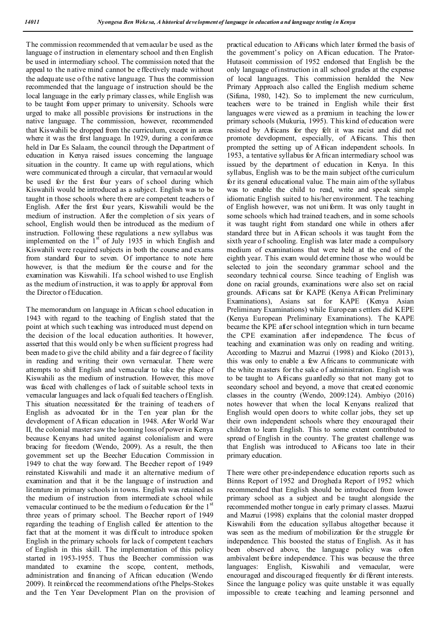The commission recommended that vernacular be used as the language of instruction in elementary school and then English be used in intermediary school. The commission noted that the appeal to the native mind cannot be effectively made without the adequate use of the native language. Thus the commission recommended that the language of instruction should be the local language in the early p rimary classes, while English was to be taught from upper primary to university. Schools were urged to make all possible provisions for instructions in the native language. The commission, however, recommended that Kiswahili be dropped from the curriculum, except in areas where it was the first language. In 1929, during a conference held in Dar Es Salaam, the council through the Department of education in Kenya raised issues concerning the language situation in the country. It came up with regulations, which were communicated through a circular, that vernacular would be used for the first four years of school during which Kiswahili would be introduced as a subject. English was to be taught in those schools where th ere are competent teachers o f English. After the first four years, Kiswahili would be the medium of instruction. After the completion of six years of school, English would then be introduced as the medium of instruction. Following these regulations a new syllabus was implemented on the  $1<sup>st</sup>$  of July 1935 in which English and Kiswahili were required subjects in both the course and exams from standard four to seven. Of importance to note here however, is that the medium for the course and for the examination was Kiswahili. If a school wished to use English as the medium of instruction, it was to apply for approval from the Director o fEducation.

The memorandum on language in African s chool education in 1943 with regard to the teaching of English stated that the point at which such t eaching was introduced must depend on the decision of the local education authorities. It however, asserted that this would only be when sufficient progress had been made to give the child ability and a fair degree o f facility in reading and writing their own vernacular. There were attempts to shift English and vernacular to take the place of Kiswahili as the medium of instruction. However, this move was faced with challenges of lack of suitable school texts in vernacular languages and lack of quali fied teachers o f English. This situation necessitated for the training of teachers of English as advocated for in the Ten year plan for the development of African education in 1948. After World War II, the colonial master saw the looming loss of power in Kenya because Kenyans had united against colonialism and were bracing for freedom (Wendo, 2009). As a result, the then government set up the Beecher Education Commission in 1949 to chat the way forward. The Beecher report of 1949 reinstated Kiswahili and made it an alternative medium of examination and that it be the language of instruction and literature in primary schools in towns. English was retained as the medium of instruction from intermediate school while vernacular continued to be the medium of education for the  $1<sup>st</sup>$ three years of primary school. The Beecher report of 1949 regarding the teaching of English called for attention to the fact that at the moment it was difficult to introduce spoken English in the primary schools for lack of competent t eachers of English in this skill. The implementation of this policy started in 1953-1955. Thus the Beecher commission was mandated to examine the scope, content, methods, administration and financing of African education (Wendo 2009). It reinforced the recommendations of the Phelps-Stokes and the Ten Year Development Plan on the provision of practical education to Africans which later formed the basis of the government's policy on African education. The Prator-Hutasoit commission of 1952 endorsed that English be the only language of instruction in all school grades at the expense of local languages. This commission heralded the New Primary Approach also called the English medium scheme (Sifuna, 1980, 142). So to implement the new curriculum, teachers were to be trained in English while their first languages were viewed as a premium in teaching the lower primary schools (Mukuria, 1995). This kind of education were resisted by Africans for they felt it was racist and did not promote development, especially, of Africans. This then prompted the setting up of African independent schools. In 1953, a tentative syllabus for African intermediary school was issued by the department of education in Kenya. In this syllabus, English was to be the main subject of the curriculum for its general educational value. The main aim of the syllabus was to enable the child to read, write and speak simple idiomatic English suited to his/her environment. The teaching of English however, was not uniform. It was only taught in some schools which had trained teachers, and in some schools it was taught right from standard one while in others after standard three but in African schools it was taught from the sixth year o f schooling. English was later made a compulsory medium of examinations that were held at the end of the eighth year. This exam would det ermine those who would be selected to join the secondary grammar school and the secondary technical course. Since teaching of English was done on racial grounds, examinations were also set on racial grounds. Africans sat for KAPE (Kenya African Preliminary Examinations), Asians sat for KAPE (Kenya Asian Preliminary Examinations) while European s ettlers did KEPE (Kenya European Preliminary Examinations). The KAPE became the KPE after school integration which in turn became the CPE examination after independence. The focus of teaching and examination was only on reading and writing. According to Mazrui and Mazrui (1998) and Kioko (2013), this was only to enable a few Africans to communicate with the white masters for the sake of administration. English was to be taught to Africans guardedly so that not many got to secondary school and beyond, a move that created economic classes in the country (Wendo, 2009:124). Ambiyo (2016) notes however that when the local Kenyans realized that English would open doors to white collar jobs, they set up their own independent schools where they encouraged their children to learn English. This to some extent contributed to spread of English in the country. The greatest challenge was that English was introduced to Africans too late in their primary education.

There were other pre-independence education reports such as Binns Report of 1952 and Drogheda Report of 1952 which recommended that English should be introduced from lower primary school as a subject and be taught alongside the recommended mother tongue in early p rimary cl asses. Mazrui and Mazrui (1998) explains that the colonial master dropped Kiswahili from the education syllabus altogether because it was seen as the medium of mobilization for the struggle for independence. This boosted the status of English. As it has been observed above, the language policy was often ambivalent before independence. This was because the three languages: English, Kiswahili and vemacular, were encouraged and discouraged frequently for di fferent interests. Since the language policy was quite unstable it was equally impossible to create teaching and learning personnel and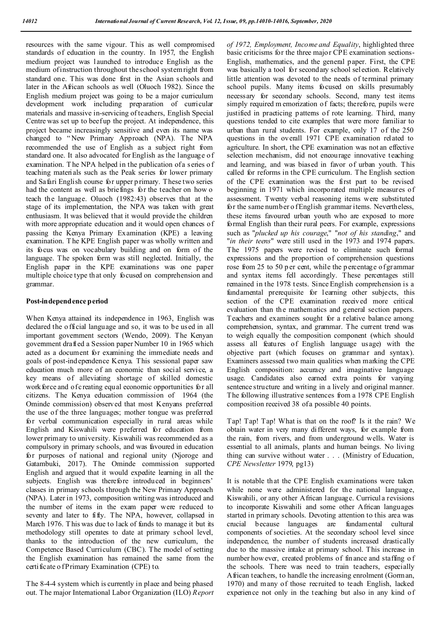resources with the same vigour. This as well compromised standards of education in the country. In 1957, the English medium project was launched to introduce English as the medium of instruction throughout the school system right from standard one. This was done first in the Asian schools and later in the African schools as well (Oluoch 1982). Since the English medium project was going to be a major curriculum development work including preparation of curricular materials and massive in-servicing of teachers, English Special Centre was set up to beef up the project. At independence, this project became increasingly sensitive and even its name was changed to " New Primary Approach (NPA). The NPA recommended the use of English as a subject right from standard one. It also advocated for English as the language of examination. The NPA helped in the publication of a series of teaching materials such as the Peak series for lower primary and Safari English course for upper p rimary. These two series had the content as well as briefings for the teacher on how o teach the language. Oluoch (1982:43) observes that at the stage of its implementation, the NPA was taken with great enthusiasm. It was believed that it would provide the children with more appropriate education and it would open chances of passing the Kenya Primary Examination (KPE) a leaving examination. T he KPE English paper was wholly written and its focus was on vocabulary building and on form of the language. The spoken form was still neglected. Initially, the English paper in the KPE examinations was one paper multiple choice type th at only focused on comprehension and grammar.

#### **Post-independence period**

When Kenya attained its independence in 1963, English was declared the o fficial language and so, it was to be used in all important government sectors (Wendo, 2009). The Kenyan government drafted a Session paper Number 10 in 1965 which acted as a document for examining the immediate needs and goals of post-independence Kenya. This sessional paper saw education much more of an economic than social service, a key means of alleviating shortage of skilled domestic work force and of creating equal economic opportunities for all citizens. The Kenya education commission of 1964 (the Ominde commission) observed that most Kenyans preferred the use of the three languages; mother tongue was preferred for verbal communication especially in rural areas while English and Kiswahili were preferred for education from lower primary to university. Kiswahili was recommended as a compulsory in primary schools, and was favoured in education for purposes of national and regional unity (Njoroge and Gatambuki, 2017). The Ominde commission supported English and argued that it would expedite learning in all the subjects. English was therefore introduced in beginners' classes in primary schools through the New Primary Approach (NPA). Later in 1973, composition writing was introduced and the number of items in the exam paper were reduced to seventy and later to fifty. The NPA, however, collapsed in March 1976. T his was due to lack of funds to manage it but its methodology still operates to date at primary school level, thanks to the introduction of the new curriculum, the Competence Based Curriculum (CBC). The model of setting the English examination has remained the same from the certificate o fPrimary Examination (CPE) to.

The 8-4-4 system which is currently in place and being phased out. The major International Labor Organization (ILO) *Report*  *of 1972, Employment, Income and Equality*, highlighted three basic criticisms for the three major CPE examination sections-English, mathematics, and the general paper. First, the CPE was basically a tool for secondary school selection. Relatively little attention was devoted to the needs of terminal primary school pupils. Many items focused on skills presumably necessary for secondary schools. Second, many test items simply required m emorization of facts; therefore, pupils were justified in practicing patterns of rote learning. Third, many questions tended to cite examples that were more familiar to urban than rural students. For example, only 17 of the 250 questions in the overall 1971 CPE examination related to agriculture. In short, the CPE examination was not an effective selection mechanism, did not encourage innovative teaching and learning, and was biased in favor of urban youth. This called for reforms in the CPE curriculum. The English section of the CPE examination was the first part to be revised beginning in 1971 which incorporated multiple measures of assessment. Twenty verbal reasoning items were substituted for the same number o f English grammar items. Nevertheless, these items favoured urban youth who are exposed to more formal English than their rural peers. For example, expressions such as "*plucked up his courage*," "*not of his standing*," and "*in their teens*" were still used in the 1973 and 1974 papers. The 1975 papers were revised to eliminate such formal expressions and the proportion of comprehension questions rose from 25 to 50 p er cent, while the p ercentage of grammar and syntax items fell accordingly. These percentages still remained in the 1978 tests. Since English comprehension is a fundamental prerequisite for learning other subjects, this section of the CPE examination received more critical evaluation than the mathematics and general section papers. Teachers and examiners sought for a relative balance among comprehension, syntax, and grammar. The current trend was to weigh equally the composition component (which should assess all features of English language usage) with the objective part (which focuses on grammar and syntax). Examiners assessed two main qualities when marking the CPE English composition: accuracy and imaginative language usage. Candidates also earned extra points for varying sentence structure and writing in a lively and original manner. The following illustrative sentences from a 1978 CPE English composition received 38 of a possible 40 points.

Tap! Tap! Tap! What is that on the roof? Is it the rain? We obtain water in very many different ways, for example from the rain, from rivers, and from underground wells. Water is essential to all animals, plants and human beings. No living thing can survive without water . . . (Ministry of Education, *CPE Newsletter* 1979, pg13)

It is notable that the CPE English examinations were taken while none were administered for the national language, Kiswahili, or any other African language. Curricula revisions to incorporate Kiswahili and some other African languages started in primary schools. Devoting attention to this area was crucial because languages are fundamental cultural components of societies. At the secondary school level since independence, the number of students increased drastically due to the massive intake at primary school. This increase in number how ever, created problems of finance and staffing o f the schools. There was need to train teachers, especially African teachers, to handle the increasing enrolment (Gorman, 1970) and many of those recruited to teach English, lacked experience not only in the teaching but also in any kind of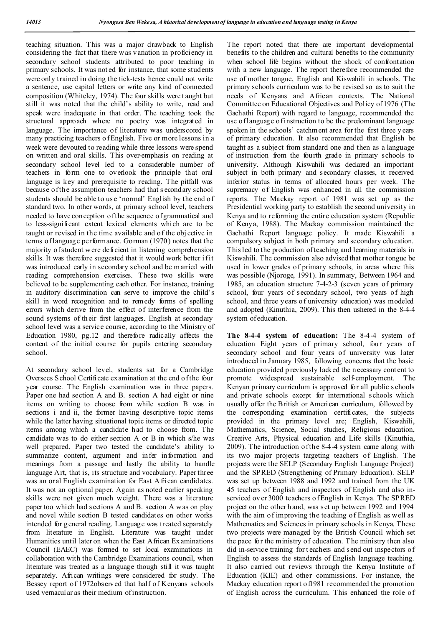teaching situation. This was a major drawback to English considering the fact that there was variation in proficiency in secondary school students attributed to poor teaching in primary schools. It was not ed for instance, that some students were only trained in doing the tick-tests hence could not write a sentence, use capital letters or write any kind of connected composition (Whiteley, 1974). The four skills were t aught but still it was noted that the child's ability to write, read and speak were inadequate in that order. The teaching took the structural approach where no poetry was integrated in language. The importance of literature was underscored by many practicing teachers of English. Five or more lessons in a week were devouted to reading while three lessons were spend on written and oral skills. This over-emphasis on reading at secondary school level led to a considerable number of teachers in form one to overlook the principle that oral language is key and prerequisite to reading. The pitfall was because of the assumption teachers had that s econdary school students should be able to us e 'normal' English by the end of standard two. In other words, at primary school level, teachers needed to have conception of the sequence of grammatical and to less-significant extent lexical elements which are to be taught or revised in the time available and of the obj ective in terms of language performance. Gorman (1970) notes that the majority of student w ere deficient in listening comprehension skills. It was therefore suggested that it would work better if it was introduced early in secondary s chool and be m arried with reading comprehension exercises. These two skills were believed to be supplementing each other. For instance, training in auditory discrimination can serve to improve the child's skill in word recognition and to remedy forms of spelling errors which derive from the effect of interference from the sound systems of their first languages. English at secondary school level was a service course, according to the Ministry of Education 1980, pg.12 and therefore radically affects the content of the initial course for pupils entering secondary school.

At secondary school level, students sat for a Cambridge Oversees School Certificate examination at the end of the four year course. The English examination was in three papers. Paper one had section A and B. section A had eight or nine items on writing to choose from while section B was in sections i and ii, the former having descriptive topic items while the latter having situational topic items or directed topic items among which a candidate had to choose from. The candidate was to do either section A or B in which s/he was well prepared. Paper two tested the candidate's ability to summarize content, argument and infer information and meanings from a passage and lastly the ability to handle language Art, that is, its structure and vocabulary. Paper three was an oral English examination for East A frican candidates. It was not an optional paper. Again as noted earlier speaking skills were not given much weight. There was a literature paper too which had sections A and B. section A was on play and novel while section B tested candidates on other works intended for general reading. Language was treated separately from literature in English. Literature was taught under Humanities until later on when the East African Ex aminations Council (EAEC) was formed to set local examinations in collaboration with the Cambridge Examinations council, when literature was treated as a language though still it was taught separately. African writings were considered for study. The Bessey report of 1972observed that half of Kenyans schools used vernacular as their medium of instruction.

The report noted that there are important developmental benefits to the children and cultural benefits to the community when school life begins without the shock of confrontation with a new language. The report there fore recommended the use of mother tongue, English and Kiswahili in schools. The primary schools curriculum was to be revised so as to suit the needs of Kenyans and African contexts. The National Committee on Educational Objectives and Policy of 1976 (The Gachathi Report) with regard to language, recommended the use of language of instruction to be the predominant language spoken in the schools' catchment area for the first three y ears of primary education. It also recommended that English be taught as a subject from standard one and then as a language of instruction from the fourth grade in primary schools to university. Although Kiswahili was declared an important subject in both primary and secondary classes, it received inferior status in terms of allocated hours per week. The supremacy of English was enhanced in all the commission reports. The Mackay report of 1981 was set up as the Presidential working party to establish the second university in Kenya and to reforming the entire education system (Republic of Kenya, 1988). The Mackay commission maintained the Gachathi Report language policy. It made Kiswahili a compulsory subject in both primary and secondary education. This led to the production of teaching and learning materials in Kiswahili. The commission also advised that mother tongue be used in lower grades of primary schools, in areas where this was possible (Njoroge, 1991). In summary, Between 1964 and 1985, an education structure 7-4-2-3 (seven years of primary school, four years of secondary school, two years of high school, and three years o f university education) was modeled and adopted (Kinuthia, 2009). This then ushered in the 8-4-4 system of education.

**The 8-4-4 system of education:** The 8-4-4 system of education Eight years of primary school, four years of secondary school and four years of university was later introduced in January 1985, following concerns that the basic education provided p reviously lacked the n ecessary cont ent to promote widespread sustainable self-employment. The Kenyan primary curriculum is approved for all public s chools and private schools except for international schools which usually offer the British or American curriculum, followed by the corresponding examination certificates, the subjects provided in the primary level are; English, Kiswahili, Mathematics, Science, Social studies, Religious education, Creative Arts, Physical education and Life skills (Kinuthia, 2009). The introduction of the 8-4-4 system came along with its two major projects targeting teachers of English. The projects were the SELP (Secondary English Language Project) and the SPRED (Strengthening of Primary Education). SELP was set up between 1988 and 1992 and trained from the UK 45 teachers of English and inspectors of English and also inserviced ov er 3000 teachers o f English in Kenya. The SPRED project on the other h and, was set up between 1992 and 1994 with the aim of improving the teaching of English as well as Mathematics and Sciences in primary schools in Kenya. These two projects were managed by the British Council which set the pace for the ministry of education. T he ministry then also did in-service training for t eachers and send out inspectors of English to assess the standards of English language teaching. It also carried out reviews through the Kenya Institute of Education (KIE) and other commissions. For instance, the Mackay education report o f1981 recommended the promotion of English across the curriculum. This enhanced the role of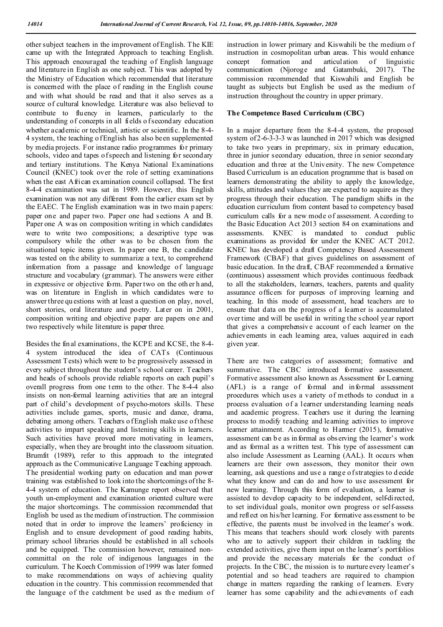other subject teachers in the improvement of English. The KIE came up with the Integrated Approach to teaching English. This approach encouraged the teaching of English language and literature in English as one subj ect. T his was adopted by the Ministry of Education which recommended that literature is concerned with the place of reading in the English course and with what should be read and that it also serves as a source of cultural knowledge. Literature was also believed to contribute to fluency in learners, particularly to the understanding of concepts in all fields of secondary education whether a cademic or technical, artistic or scientific. In the 8-4-4 system, the teaching o f English has also been supplemented by media projects. For instance radio programmes for primary schools, video and tapes of speech and listening for secondary and tertiary institutions. The Kenya National Examinations Council (KNEC) took over the role of setting examinations when the east African examination council collapsed. The first 8-4-4 examination was sat in 1989. However, this English examination was not any different from the earlier exam set by the EAEC. T he English examination was in two main p apers: paper one and paper two. Paper one had sections A and B. Paper one A was on composition writing in which candidates were to write two compositions; a descriptive type was compulsory while the other was to be chosen from the situational topic items given. In paper one B, the candidate was tested on the ability to summarize a text, to comprehend information from a passage and knowledge of language structure and vocabulary (grammar). The answers were either in expressive or objective form. Paper two on the oth er h and, was on literature in English in which candidates were to answer three qu estions with at least a question on play, novel, short stories, oral literature and poetry. Later on in 2001, composition writing and objective paper are papers one and two respectively while literature is paper three.

Besides the final examinations, the KCPE and KCSE, the 8-4- 4 system introduced the idea of CATs (Continuous Assessment Tests) which were to be progressively assessed in every subject throughout the student's school career. Teachers and heads of schools provide reliable reports on each pupil's overall progress from one term to the other. The 8-4-4 also insists on non-formal learning activities that are an integral part of child's development of psycho-motors skills. These activities include games, sports, music and dance, drama, debating among others. Teachers of English make use of these activities to impart speaking and listening skills in learners. Such activities have proved more motivating in learners, especially, when they are brought into the classroom situation. Brumfit (1989), refer to this approach to the integrated approach as the Communicative Language Teaching approach. The presidential working party on education and man power training was established to look into the shortcomings of the 8- 4-4 system of education. The Kamunge report observed that youth un-employment and examination oriented culture were the major shortcomings. The commission recommended that English be used as the medium of instruction. The commission noted that in order to improve the learners' proficiency in English and to ensure development of good reading habits, primary school libraries should be established in all schools and be equipped. The commission however, remained noncommittal on the role of indigenous languages in the curriculum. T he Koech Commission of 1999 was later formed to make recommendations on ways of achieving quality education in the country. This commission recommended that the language of the catchment be used as the medium of

instruction in lower primary and Kiswahili be the medium o f instruction in cosmopolitan urban areas. This would enhance<br>concept formation and articulation of linguistic concept formation and articulation of communication (Njoroge and Gatambuki, 2017). The commission recommended that Kiswahili and English be taught as subjects but English be used as the medium of instruction throughout the country in upper primary.

#### **The Competence Based Curriculum (CBC)**

In a major departure from the 8-4-4 system, the proposed system of 2-6-3-3-3 w as launched in 2017 which was designed to take two years in preprimary, six in primary education, three in junior secondary education, three in senior secondary education and three at the University. The new Competence Based Curriculum is an education programme that is based on learners demonstrating the ability to apply the knowledge, skills, attitudes and values they are expected to acquire as they progress through their education. The paradigm shifts in the education curriculum from content based to competency based curriculum calls for a new mode of assessment. A ccording to the Basic Education Act 2013 section 84 on examinations and assessments. KNEC is mandated to conduct public examinations as provided for under the KNEC ACT 2012. KNEC has developed a draft Competency Based Assessment Framework (CBAF) that gives guidelines on assessment of basic education. In the draft, CBAF recommended a formative (continuous) assessment which provides continuous feedback to all the stakeholders, learners, teachers, parents and quality assurance officers for purposes of improving learning and teaching. In this mode of assessment, head teachers are to ensure that data on the progress of a learner is accumulated over time and will be useful in writing the school year report that gives a comprehensiv e account of each learner on the achievements in each learning area, values acquired in each given year.

There are two categories of assessment; formative and summative. The CBC introduced formative assessment. Formative assessment also known as Assessment for Learning (AFL) is a range of formal and informal assessment procedures which uses a variety of methods to conduct in a process evaluation of a learner understanding learning needs and academic progress. Teachers use it during the learning process to modify teaching and learning activities to improve learner attainment. According to Harmer (2015), formative assessment can b e as in formal as obs erving the learner's work and as formal as a written test. This type of assessment can also include Assessment as Learning (AAL). It occurs when learners are their own assessors, they monitor their own learning, ask questions and use a range of strategies to d ecide what they know and can do and how to use assessment for new learning. Through this form of evaluation, a learner is assisted to develop capacity to be independent, self-directed, to set individual goals, monitor own progress or self-assess and reflect on his/her learning. For formative ass essment to be effective, the parents must be involved in the learner's work. This means that teachers should work closely with parents who are to actively support their children in tackling the extended activities, give them input on the learner's portfolios and provide the necessary materials for the conduct of projects. In the CBC, the mission is to nurture every learner's potential and so head teachers are required to champion change in matters regarding the ranking of learners. Every learner has some capability and the achievements of each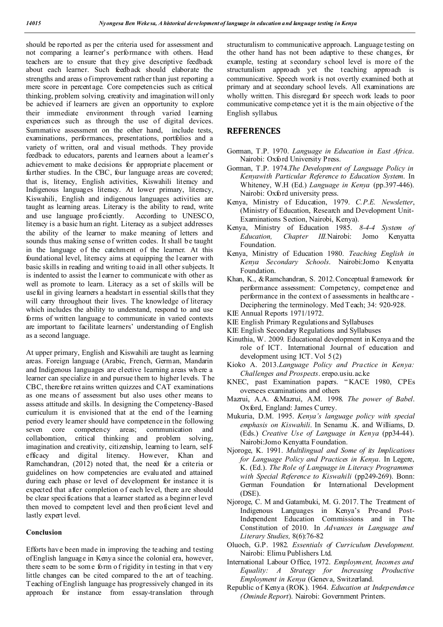should be reported as per the criteria used for assessment and not comparing a learner's performance with others. Head teachers are to ensure that they give descriptive feedback about each learner. Such feedback should elaborate the strengths and areas of improvement rather than just reporting a mere score in percentage. Core competencies such as critical thinking, problem solving, creativity and imagination will only be achieved if learners are given an opportunity to explore their immediate environment through varied learning experiences such as through the use of digital devices. Summative assessment on the other hand, include tests, examinations, performances, presentations, portfolios and a variety of written, oral and visual methods. They provide feedback to educators, parents and learners about a learner's achievement to make decisions for appropriate placement or further studies. In the CBC, four language areas are covered; that is, literacy, English activities, Kiswahili literacy and Indigenous languages literacy. At lower primary, literacy, Kiswahili, English and indigenous languages activities are taught as learning areas. Literacy is the ability to read, write and use language proficiently. According to UNESCO, literacy is a basic hum an right. Literacy as a subject addresses the ability of the learner to make meaning of letters and sounds thus making sense of written codes. It shall be taught in the language of the catchment of the learner. At this foundational level, literacy aims at equipping the l earner with basic skills in reading and writing to aid in all other subjects. It is indented to assist the l earner to communicate with other as well as promote to learn. Literacy as a set of skills will be useful in giving learners a headstart in essential skills that they will carry throughout their lives. The knowledge of literacy which includes the ability to understand, respond to and use forms of written language to communicate in varied contexts are important to facilitate learners' understanding of English as a second language.

At upper primary, English and Kiswahili are taught as learning areas. Foreign language (Arabic, French, German, Mandarin and Indigenous languages are elective learning areas wh ere a learner can specialize in and pursue them to higher levels. T he CBC, therefore retains written quizzes and CAT examinations as one means of assessment but also uses other means to assess attitude and skills. In designing the Competency-Based curriculum it is envisioned that at the end of the learning period every learner should have competence in the following seven core competency areas; communication and collaboration, critical thinking and problem solving, imagination and creativity, citizenship, learning to learn, selfefficacy and digital literacy. However, Khan and Ramchandran, (2012) noted that, the need for a criteria or guidelines on how competencies are evaluated and attained during each phase or level of development for instance it is expected that after completion o f each level, there are should be clear specifications that a learner started as a beginn er level then moved to competent level and then proficient level and lastly expert level.

#### **Conclusion**

Efforts have been made in improving the teaching and testing of English language in Kenya since the colonial era, however, there seem to be some form of rigidity in testing in that very little changes can be cited compared to the art of teaching. Teaching of English language has progressively changed in its approach for instance from essay-translation through structuralism to communicative approach. Language testing on the other hand has not been adaptive to these changes, for example, testing at secondary school level is more of the structuralism approach yet the teaching approach is communicative. Speech work is not overtly examined both at primary and at secondary school levels. All examinations are wholly written. This disregard for speech work leads to poor communicative comp etence yet it is the m ain objective of the English syllabus.

### **REFERENCES**

- Gorman, T.P. 1970. *Language in Education in East Africa*. Nairobi: Oxford University Press.
- Gorman, T.P. 1974.*The Development of Language Policy in Kenyawith Particular Reference to Education System*. In Whiteney, W.H (Ed.) *Language in Kenya* (pp.397-446). Nairobi: Oxford university press.
- Kenya, Ministry of Education, 1979. *C.P.E. Newsletter*, (Ministry of Education, Research and Development Unit-Examinations Section, Nairobi, Kenya).
- Kenya, Ministry of Education 1985. *8-4-4 System of Education, Chapter III.*Nairobi: Jomo Kenyatta Foundation.
- Kenya, Ministry of Education 1980. *Teaching English in Kenya Secondary Schools*. Nairobi:Jomo Kenyatta Foundation.
- Khan, K., &Ramchandran, S. 2012.Conceptual framework for performance assessment: Competency, competence and performance in the context o f assessments in healthcare - Deciphering the terminology. Med Teach; 34: 920-928.
- KIE Annual Reports 1971/1972.
- KIE English Primary Regulations and Syllabuses
- KIE English Secondary Regulations and Syllabuses
- Kinuthia, W. 2009. Educational development in Kenya and the role of ICT. International Journal of education and development using ICT. Vol 5 (2)
- Kioko A. 2013.*Language Policy and Practice in Kenya: Challenges and Prospects*. erepo.usiu.ac.ke
- KNEC, past Examination papers. " KACE 1980, CPEs oversees examinations and others
- Mazrui, A.A. &Mazrui, A.M. 1998. *The power of Babel*. Oxford, England: James Currey.
- Mukuria, D.M. 1995. *Kenya's language policy with special emphasis on Kiswahili*. In Senamu .K. and Williams, D. (Eds.) *Creative Use of Language in Kenya* (pp34-44). Nairobi:Jomo Kenyatta Foundation.
- Njoroge, K. 1991. *Multilingual and Some of its Implications for Language Policy and Practices in Kenya*. In Legere, K. (Ed.). *The Role of Language in Literacy Programmes with Special Reference to Kiswahili* (pp249-269). Bonn: German Foundation for International Development (DSE).
- Njoroge, C. M and Gatambuki, M. G. 2017. The Treatment of Indigenous Languages in Kenya's Pre-and Post-Independent Education Commissions and in The Constitution of 2010. In *Advances in Language and Literary Studies,* 8(6):76-82
- Oluoch, G.P. 1982. *Essentials of Curriculum Development*. Nairobi: Elimu Publishers Ltd.
- International Labour O ffice, 1972. *Employment, Incomes and Equality: A Strategy for Increasing Productive Employment in Kenya* (Geneva, Switzerland.
- Republic o f Kenya (ROK). 1964. *Education at Independence (Ominde Report*). Nairobi: Government Printers.